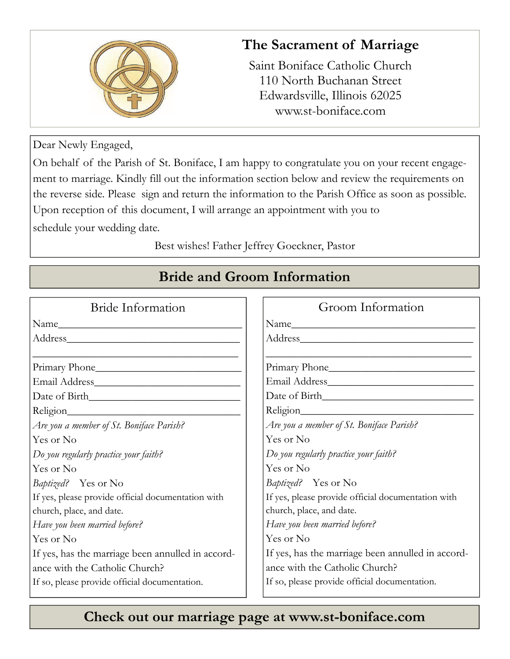

#### **The Sacrament of Marriage**

Saint Boniface Catholic Church 110 North Buchanan Street Edwardsville, Illinois 62025 www.st-boniface.com

Dear Newly Engaged,

On behalf of the Parish of St. Boniface, I am happy to congratulate you on your recent engagement to marriage. Kindly fill out the information section below and review the requirements on the reverse side. Please sign and return the information to the Parish Office as soon as possible. Upon reception of this document, I will arrange an appointment with you to schedule your wedding date.

Best wishes! Father Jeffrey Goeckner, Pastor

| Bride Information                                  | Groom Information                                  |
|----------------------------------------------------|----------------------------------------------------|
| Name                                               |                                                    |
|                                                    |                                                    |
| Primary Phone                                      | Primary Phone                                      |
|                                                    |                                                    |
|                                                    |                                                    |
|                                                    | Religion                                           |
| Are you a member of St. Boniface Parish?           | Are you a member of St. Boniface Parish?           |
| Yes or No                                          | Yes or No                                          |
| Do you regularly practice your faith?              | Do you regularly practice your faith?              |
| Yes or No                                          | Yes or No                                          |
| Baptized? Yes or No                                | Baptized? Yes or No                                |
| If yes, please provide official documentation with | If yes, please provide official documentation with |
| church, place, and date.                           | church, place, and date.                           |
| Have you been married before?                      | Have you been married before?                      |
| Yes or No                                          | Yes or No                                          |
| If yes, has the marriage been annulled in accord-  | If yes, has the marriage been annulled in accord-  |
| ance with the Catholic Church?                     | ance with the Catholic Church?                     |
| If so, please provide official documentation.      | If so, please provide official documentation.      |

# **Bride and Groom Information**

## **Check out our marriage page at www.st-boniface.com**